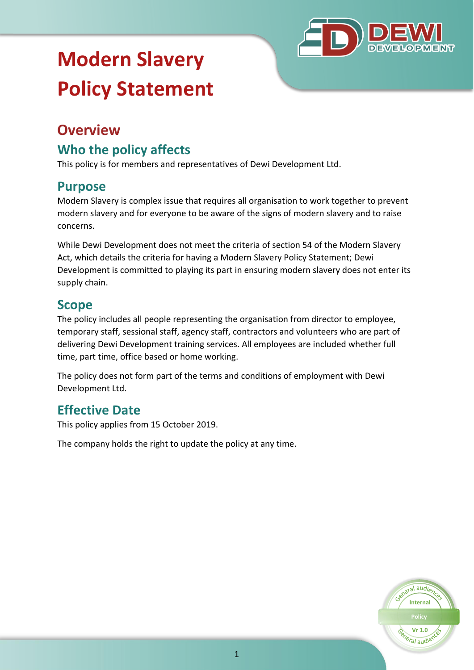

# **Modern Slavery Policy Statement**

# **Overview**

### **Who the policy affects**

This policy is for members and representatives of Dewi Development Ltd.

#### **Purpose**

Modern Slavery is complex issue that requires all organisation to work together to prevent modern slavery and for everyone to be aware of the signs of modern slavery and to raise concerns.

While Dewi Development does not meet the criteria of section 54 of the Modern Slavery Act, which details the criteria for having a Modern Slavery Policy Statement; Dewi Development is committed to playing its part in ensuring modern slavery does not enter its supply chain.

### **Scope**

The policy includes all people representing the organisation from director to employee, temporary staff, sessional staff, agency staff, contractors and volunteers who are part of delivering Dewi Development training services. All employees are included whether full time, part time, office based or home working.

The policy does not form part of the terms and conditions of employment with Dewi Development Ltd.

# **Effective Date**

This policy applies from 15 October 2019.

The company holds the right to update the policy at any time.

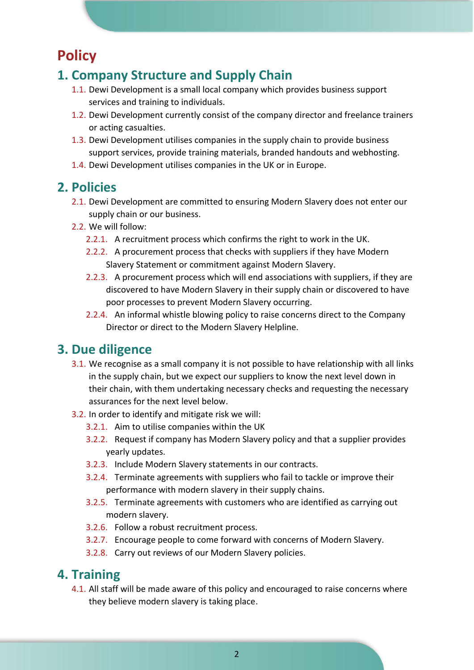# **Policy**

#### **1. Company Structure and Supply Chain**

- 1.1. Dewi Development is a small local company which provides business support services and training to individuals.
- 1.2. Dewi Development currently consist of the company director and freelance trainers or acting casualties.
- 1.3. Dewi Development utilises companies in the supply chain to provide business support services, provide training materials, branded handouts and webhosting.
- 1.4. Dewi Development utilises companies in the UK or in Europe.

#### **2. Policies**

- 2.1. Dewi Development are committed to ensuring Modern Slavery does not enter our supply chain or our business.
- 2.2. We will follow:
	- 2.2.1. A recruitment process which confirms the right to work in the UK.
	- 2.2.2. A procurement process that checks with suppliers if they have Modern Slavery Statement or commitment against Modern Slavery.
	- 2.2.3. A procurement process which will end associations with suppliers, if they are discovered to have Modern Slavery in their supply chain or discovered to have poor processes to prevent Modern Slavery occurring.
	- 2.2.4. An informal whistle blowing policy to raise concerns direct to the Company Director or direct to the Modern Slavery Helpline.

#### **3. Due diligence**

- 3.1. We recognise as a small company it is not possible to have relationship with all links in the supply chain, but we expect our suppliers to know the next level down in their chain, with them undertaking necessary checks and requesting the necessary assurances for the next level below.
- 3.2. In order to identify and mitigate risk we will:
	- 3.2.1. Aim to utilise companies within the UK
	- 3.2.2. Request if company has Modern Slavery policy and that a supplier provides yearly updates.
	- 3.2.3. Include Modern Slavery statements in our contracts.
	- 3.2.4. Terminate agreements with suppliers who fail to tackle or improve their performance with modern slavery in their supply chains.
	- 3.2.5. Terminate agreements with customers who are identified as carrying out modern slavery.
	- 3.2.6. Follow a robust recruitment process.
	- 3.2.7. Encourage people to come forward with concerns of Modern Slavery.
	- 3.2.8. Carry out reviews of our Modern Slavery policies.

#### **4. Training**

4.1. All staff will be made aware of this policy and encouraged to raise concerns where they believe modern slavery is taking place.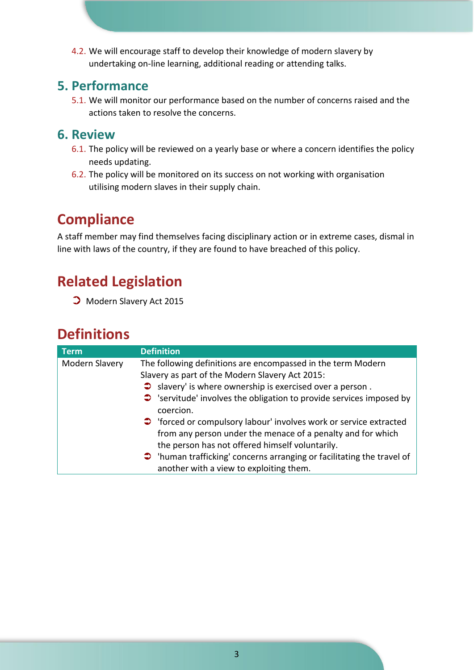4.2. We will encourage staff to develop their knowledge of modern slavery by undertaking on-line learning, additional reading or attending talks.

#### **5. Performance**

5.1. We will monitor our performance based on the number of concerns raised and the actions taken to resolve the concerns.

#### **6. Review**

- 6.1. The policy will be reviewed on a yearly base or where a concern identifies the policy needs updating.
- 6.2. The policy will be monitored on its success on not working with organisation utilising modern slaves in their supply chain.

# **Compliance**

A staff member may find themselves facing disciplinary action or in extreme cases, dismal in line with laws of the country, if they are found to have breached of this policy.

# **Related Legislation**

⮊ Modern Slavery Act 2015

# **Definitions**

| <b>Term</b>    | <b>Definition</b>                                                              |
|----------------|--------------------------------------------------------------------------------|
| Modern Slavery | The following definitions are encompassed in the term Modern                   |
|                | Slavery as part of the Modern Slavery Act 2015:                                |
|                | $\bullet$ slavery' is where ownership is exercised over a person.              |
|                | $\bullet$ 'servitude' involves the obligation to provide services imposed by   |
|                | coercion.                                                                      |
|                | • Torced or compulsory labour' involves work or service extracted              |
|                | from any person under the menace of a penalty and for which                    |
|                | the person has not offered himself voluntarily.                                |
|                | $\bullet$ 'human trafficking' concerns arranging or facilitating the travel of |
|                | another with a view to exploiting them.                                        |